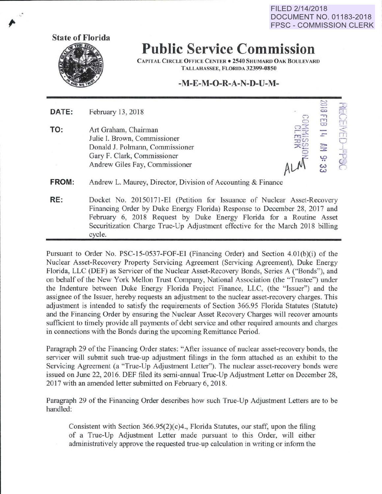FILED 2/14/2018 **DOCUMENT NO. 01183-2018 FPSC - COMMISSION CLERK** 



## **Public Service Commission**

CAPITAL CIRCLE OFFICE CENTER • 2540 SHUMARD OAK BOULEVARD TALLAHASSEE, FLORIDA 32399-0850

## **-M-E-M -0-R-A-N-D-U-M-**

| DATE:        | February 13, 2018                                                                                                                                        | $\Xi$<br>CO<br>٣,<br>53     |             |
|--------------|----------------------------------------------------------------------------------------------------------------------------------------------------------|-----------------------------|-------------|
| TO:          | Art Graham, Chairman<br>Julie I. Brown, Commissioner<br>Donald J. Polmann, Commissioner<br>Gary F. Clark, Commissioner<br>Andrew Giles Fay, Commissioner | $\overline{r}$<br>픊<br>9:33 | <b>COCO</b> |
| <b>FROM:</b> | Andrew L. Maurey, Director, Division of Accounting & Finance                                                                                             |                             |             |
| RE:          | Docket No. 20150171-EI (Petition for Issuance of Nuclear Asset-Recovery                                                                                  |                             |             |

Financing Order by Duke Energy Florida) Response to December 28, 2017 and February 6, 2018 Request by Duke Energy Florida for a Routine Asset Securitization Charge True-Up Adjustment effective for the March 2018 billing cycle.

Pursuant to Order No. PSC-15-0537-FOF-El (Financing Order) and Section 4.0l(b)(i) of the Nuclear Asset-Recovery Property Servicing Agreement (Servicing Agreement), Duke Energy Florida, LLC (DEF) as Servicer of the Nuclear Asset-Recovery Bonds, Series A ("Bonds"), and on behalf of the New York Mellon Trust Company, National Association (the "Trustee") under the Indenture between Duke Energy Florida Project Finance, LLC, (the "Issuer") and the assignee of the Issuer, hereby requests an adjustment to the nuclear asset-recovery charges. This adjustment is intended to satisfy the requirements of Section 366.95 Florida Statutes (Statute) and the Financing Order by ensuring the Nuclear Asset Recovery Charges will recover amounts sufficient to timely provide all payments of debt service and other required amounts and charges in connections with the Bonds during the upcoming Remittance Period.

Paragraph 29 of the Financing Order states: "After issuance of nuclear asset-recovery bonds, the servicer will submit such true-up adjustment filings in the form attached as an exhibit to the Servicing Agreement (a "True-Up Adjustment Letter"). The nuclear asset-recovery bonds were issued on June 22, 2016. DEF filed its semi-annual True-Up Adjustment Letter on December 28, 2017 with an amended letter submitted on February 6, 2018.

Paragraph 29 of the Financing Order describes how such True-Up Adjustment Letters are to be handled:

Consistent with Section 366.95(2)(c)4., Florida Statutes, our staff, upon the filing of a True-Up Adjustment Letter made pursuant to this Order, will either administratively approve the requested true-up calculation in writing or inform the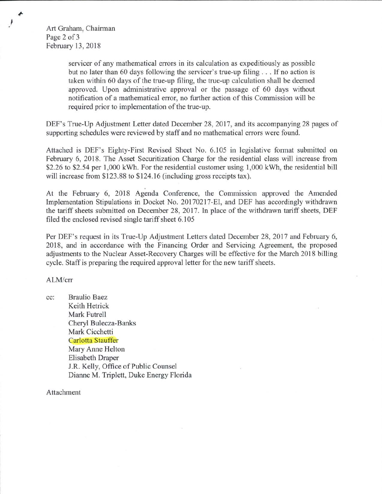Art Graham, Chairman Page 2 of 3 February 13, 2018

> servicer of any mathematical errors in its calculation as expeditiously as possible but no later than 60 days following the servicer's true-up filing ... If no action is taken within 60 days of the true-up filing, the true-up calculation shall be deemed approved. Upon administrative approval or the passage of 60 days without notification of a mathematical error, no further action of this Commission will be required prior to implementation of the true-up.

DEF's True-Up Adjustment Letter dated December 28, 2017, and its accompanying 28 pages of supporting schedules were reviewed by staff and no mathematical errors were found.

Attached is DEF's Eighty-First Revised Sheet No. 6.105 in legislative format submitted on February 6, 2018. The Asset Securitization Charge for the residential class will increase from \$2.26 to \$2.54 per 1,000 kWh. For the residential customer using 1,000 kWh, the residential bill will increase from \$123.88 to \$124.16 (including gross receipts tax).

At the February 6, 2018 Agenda Conference, the Commission approved the Amended Implementation Stipulations in Docket No. 20170217-EI, and DEF has accordingly withdrawn the tariff sheets submitted on December 28, 2017. In place of the withdrawn tariff sheets, DEF filed the enclosed revised single tariff sheet 6.105

Per DEF's request in its True-Up Adjustment Letters dated December 28, 2017 and February 6, 2018, and in accordance with the Financing Order and Servicing Agreement, the proposed adjustments to the Nuclear Asset-Recovery Charges will be effective for the March 2018 billing cycle. Staff is preparing the required approval letter for the new tariff sheets.

ALM/crr

cc: Braulio Baez Keith Hetrick Mark Futrell Cheryl Bulecza-Banks Mark Cicchetti Carlotta Stauffer Mary Anne Helton Elisabeth Draper J.R. Kelly, Office of Public Counsel Dianne M. Triplett, Duke Energy Florida

Attachment